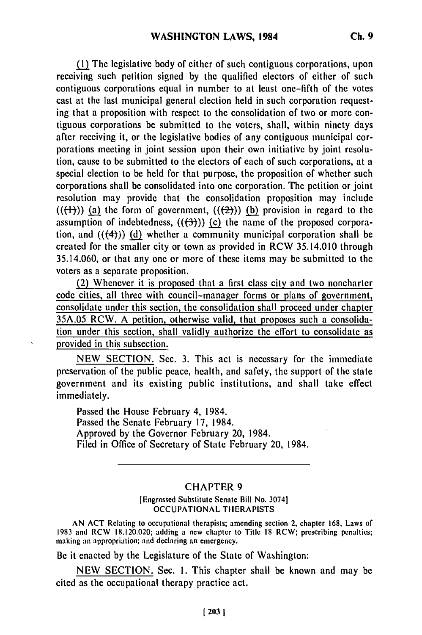(1) The legislative body of either of such contiguous corporations, upon receiving such petition signed by the qualified electors of either of such contiguous corporations equal in number to at least one-fifth of the votes cast at the last municipal general election held in such corporation requesting that a proposition with respect to the consolidation of two or more contiguous corporations be submitted to the voters, shall, within ninety days after receiving it, or the legislative bodies of any contiguous municipal corporations meeting in joint session upon their own initiative by joint resolution, cause to be submitted to the electors of each of such corporations, at a special election to be held for that purpose, the proposition of whether such corporations shall be consolidated into one corporation. The petition or joint resolution may provide that the consolidation proposition may include  $((\{\dagger\})$ ) (a) the form of government,  $((\{\dagger\}))$  (b) provision in regard to the assumption of indebtedness,  $((3))$  (c) the name of the proposed corporation, and  $((\{4\}))$  (d) whether a community municipal corporation shall be created for the smaller city or town as provided in RCW 35.14.010 through 35.14.060, or that any one or more of these items may be submitted to the voters as a separate proposition.

(2) Whenever it is proposed that a first class city and two noncharter code cities, all three with council-manager forms or plans of government, consolidate under this section, the consolidation shall proceed under chapter 35A.05 RCW. A petition, otherwise valid, that proposes such a consolidation under this section, shall validly authorize the effort to consolidate as provided in this subsection.

NEW SECTION. Sec. 3. This act is necessary for the immediate preservation of the public peace, health, and safety, the support of the state government and its existing public institutions, and shall take effect immediately.

Passed the House February 4, 1984. Passed the Senate February 17, 1984. Approved by the Governor February 20, 1984. Filed in Office of Secretary of State February 20, 1984.

## CHAPTER 9

## [Engrossed Substitute Senate Bill No. 3074] OCCUPATIONAL THERAPISTS

AN ACT Relating to occupational therapists; amending section 2, chapter 168, Laws of 1983 and RCW 18.120.020; adding a new chapter to Title 18 RCW; prescribing penalties; making an appropriation; and declaring an emergency.

Be it enacted by the Legislature of the State of Washington:

NEW SECTION. Sec. **1.** This chapter shall be known and may be cited as the occupational therapy practice act.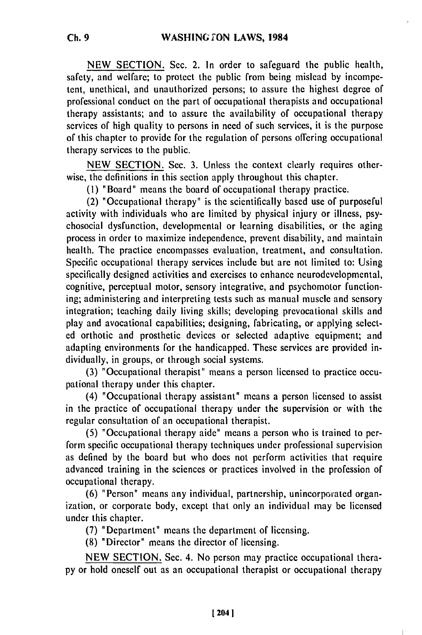NEW SECTION. Sec. 2. In order to safeguard the public health, safety, and welfare; to protect the public from being mislead by incompetent, unethical, and unauthorized persons; to assure the highest degree of professional conduct on the part of occupational therapists and occupational therapy assistants; and to assure the availability of occupational therapy services of high quality to persons in need of such services, it is the purpose of this chapter to provide for the regulation of persons offering occupational therapy services to the public.

NEW SECTION. Sec. 3. Unless the context clearly requires otherwise, the definitions in this section apply throughout this chapter.

**(1)** "Board" means the board of occupational therapy practice.

(2) "Occupational therapy" is the scientifically based use of purposeful activity with individuals who are limited by physical injury or illness, psychosocial dysfunction, developmental or learning disabilities, or the aging process in order to maximize independence, prevent disability, and maintain health. The practice encompasses evaluation, treatment, and consultation, Specific occupational therapy services include but are not limited to: Using specifically designed activities and exercises to enhance neurodevelopmental, cognitive, perceptual motor, sensory integrative, and psychomotor functioning; administering and interpreting tests such as manual muscle and sensory integration; teaching daily living skills; developing prevocational skills and play and avocational capabilities; designing, fabricating, or applying selected orthotic and prosthetic devices or selected adaptive equipment; and adapting environments for the handicapped. These services are provided individually, in groups, or through social systems.

(3) "Occupational therapist" means a person licensed to practice occupational therapy under this chapter.

(4) "Occupational therapy assistant" means a person licensed to assist in the practice of occupational therapy under the supervision or with the regular consultation of an occupational therapist.

(5) "Occupational therapy aide" means a person who is trained to perform specific occupational therapy techniques under professional supervision as defined by the board but who does not perform activities that require advanced training in the sciences or practices involved in the profession of occupational therapy.

(6) "Person" means any individual, partnership, unincorporated organization, or corporate body, except that only an individual may be licensed under this chapter.

(7) "Department" means the department of licensing.

(8) "Director" means the director of licensing.

NEW SECTION. Sec. 4. No person may practice occupational therapy or hold oneself out as an occupational therapist or occupational therapy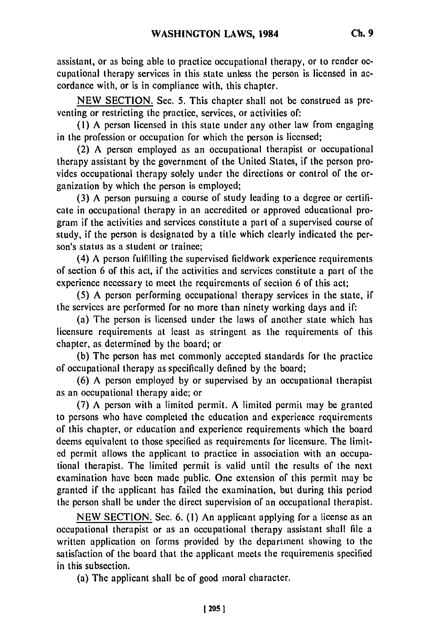assistant, or as being able to practice occupational therapy, or to render occupational therapy services in this state unless the person is licensed in accordance with, or is in compliance with, this chapter.

NEW SECTION. Sec. 5. This chapter shall not be construed as preventing or restricting the practice, services, or activities of:

**(1)** A person licensed in this state under any other law from engaging in the profession or occupation for which the person is licensed;

(2) A person employed as an occupational therapist or occupational therapy assistant by the government of the United States, if the person provides occupational therapy solely under the directions or control of the organization by which the person is employed;

(3) A person pursuing a course of study leading to a degree or certificate in occupational therapy in an accredited or approved educational program if the activities and services constitute a part of a supervised course of study, if the person is designated by a title which clearly indicated the person's status as a student or trainee;

(4) A person fulfilling the supervised fieldwork experience requirements of section 6 of this act, if the activities and services constitute a part of the experience necessary to meet the requirements of section 6 of this act;

(5) A person performing occupational therapy services in the state, if the services are performed for no more than ninety working days and if:

(a) The person is licensed under the laws of another state which has licensure requirements at least as stringent as the requirements of this chapter, as determined by the board; or

(b) The person has met commonly accepted standards for the practice of occupational therapy as specifically defined by the board;

(6) A person employed by or supervised by an occupational therapist as an occupational therapy aide; or

(7) A person with a limited permit. A limited permit may be granted to persons who have completed the education and experience requirements of this chapter, or education and experience requirements which the board deems equivalent to those specified as requirements for licensure. The limited permit allows the applicant to practice in association with an occupational therapist. The limited permit is valid until the results of the next examination have been made public. One extension of this permit may be granted if the applicant has failed the examination, but during this period the person shall be under the direct supervision of an occupational therapist.

NEW SECTION. Sec. 6. (1) An applicant applying for a license as an occupational therapist or as an occupational therapy assistant shall file a written application on forms provided by the department showing to the satisfaction of the board that the applicant meets the requirements specified in this subsection.

(a) The applicant shall be of good moral character.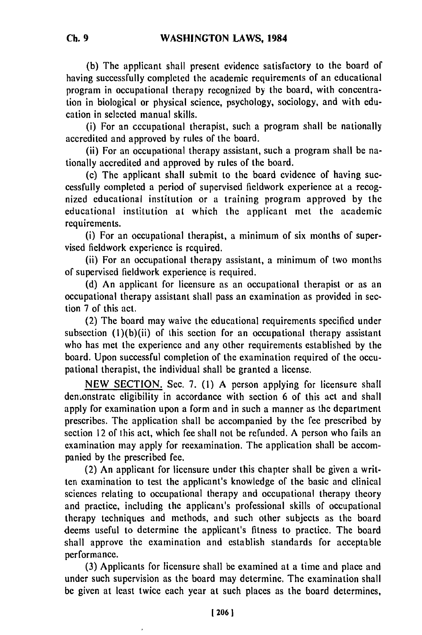**(b)** The applicant shall present evidence satisfactory to the board of having successfully completed the academic requirements of an educational program in occupational therapy recognized by the board, with concentration in biological or physical science, psychology, sociology, and with education in selected manual skills.

(i) For an cecupational therapist, such a program shall be nationally accredited and approved by rules of the board.

(ii) For an occupational therapy assistant, such a program shall be nationally accredited and approved by rules of the board.

(c) The applicant shall submit to the board evidence of having successfully completed a period of supervised fieldwork experience at a recognized educational institution or a training program approved by the educational institution at which the applicant met the academic requirements.

(i) For an occupational therapist, a minimum of six months of supervised fieldwork experience is required.

(ii) For an occupational therapy assistant, a minimum of two months of supervised fieldwork experience is required.

(d) An applicant for licensure as an occupational therapist or as an occupational therapy assistant shall pass an examination as provided in section 7 of this act.

(2) The board may waive the educational requirements specified under subsection  $(1)(b)(ii)$  of this section for an occupational therapy assistant who has met the experience and any other requirements established by the board. Upon successful completion of the examination required of the occupational therapist, the individual shall be granted a license.

NEW SECTION. Sec. 7. (1) A person applying for licensure shall demonstrate eligibility in accordance with section 6 of this act and shall apply for examination upon a form and in such a manner as the department prescribes. The application shall be accompanied by the fee prescribed by section 12 of this act, which fee shall not be refunded. A person who fails an examination may apply for reexamination. The application shall be accompanied by the prescribed fee.

(2) An applicant for licensure under this chapter shall be given a written examination to test the applicant's knowledge of the basic and clinical sciences relating to occupational therapy and occupational therapy theory and practice, including the applicant's professional skills of occupational therapy techniques and methods, and such other subjects as the board deems useful to determine the applicant's fitness to practice. The board shall approve the examination and establish standards for acceptable performance.

(3) Applicants for licensure shall be examined at a time and place and under such supervision as the board may determine. The examination shall be given at least twice each year at such places as the board determines,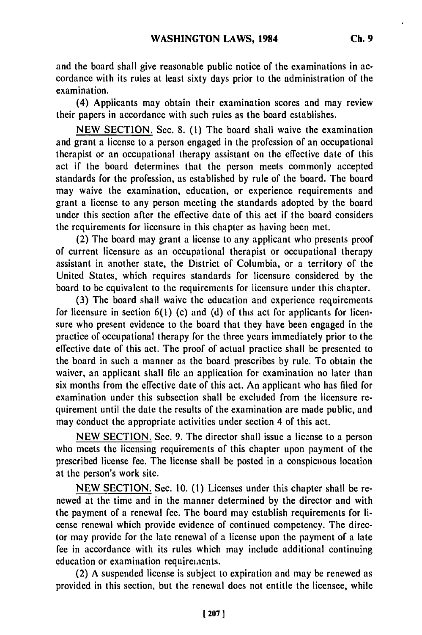and the board shall give reasonable public notice of the examinations in accordance with its rules at least sixty days prior to the administration of the examination.

(4) Applicants may obtain their examination scores and may review their papers in accordance with such rules as the board establishes.

**NEW SECTION.** Sec. **8. (1)** The board shall waive the examination and grant a license to a person engaged in the profession of an occupational therapist or an occupational therapy assistant on the effective date of this act if the board determines that the person meets commonly accepted standards for the profession, as established **by** rule of the board. The board may waive the examination, education, or experience requirements and grant a license to any person meeting the standards adopted **by** the board under this section after the effective date of this act if the board considers the requirements for licensure in this chapter as having been met.

(2) The board may grant a license to any applicant who presents proof of current licensure as an occupational therapist or occupational therapy assistant in another state, the District of Columbia, or a territory of the United States, which requires standards for licensure considered **by** the board to be equivalent to the requirements for licensure under this chapter.

**(3)** The board shall waive the education and experience requirements for licensure in section **6(1)** (c) and **(d)** of this act for applicants for licensure who present evidence to the board that they have been engaged in the practice of occupational therapy for the three years immediately prior to the effective date of this act. The proof of actual practice shall be presented to the board in such a manner as the board prescribes **by** rule. To obtain the waiver, an applicant shall file an application for examination no later than six months from the effective date of this act. An applicant who has filed for examination under this subsection shall be excluded from the licensure requirement until the date the results of the examination are made public, and may conduct the appropriate activities under section 4 of this act.

**NEW SECTION.** Sec. **9.** The director shall issue a license to a person who meets the licensing requirements of this chapter upon payment of the prescribed license fee. The license shall be posted in a conspicuous location at the person's work site.

NEW SECTION. Sec. 10. (1) Licenses under this chapter shall be renewed at the time and in the manner determined by the director and with the payment of a renewal fee. The board may establish requirements for license renewal which provide evidence of continued competency. The director may provide for the late renewal of a license upon the payment of a late fee in accordance with its rules which may include additional continuing education or examination requirements.

(2) A suspended license is subject to expiration and may be renewed as provided in this section, but the renewal does not entitle the licensee, while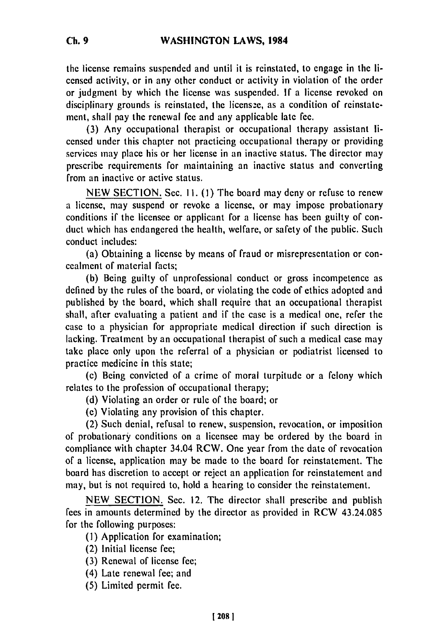the license remains suspended and until it is reinstated, to engage in the licensed activity, or in any other conduct or activity in violation of the order or judgment by which the license was suspended. If a license revoked on disciplinary grounds is reinstated, the license, as a condition of reinstatement, shall pay the renewal fee and any applicable late fee.

(3) Any occupational therapist or occupational therapy assistant licensed under this chapter not practicing occupational therapy or providing services may place his or her license in an inactive status. The director may prescribe requirements for maintaining an inactive status and converting from an inactive or active status.

NEW SECTION. Sec. Ii. **(1)** The board may deny or refuse to renew a license, may suspend or revoke a license, or may impose probationary conditions if the licensee or applicant for a license has been guilty of conduct which has endangered the health, welfare, or safety of the public. Such conduct includes:

(a) Obtaining a license by means of fraud or misrepresentation or concealment of material facts;

(b) Being guilty of unprofessional conduct or gross incompetence as defined by the rules of the board, or violating the code of ethics adopted and published by the board, which shall require that an occupational therapist shall, after evaluating a patient and if the case is a medical one, refer the case to a physician for appropriate medical direction if such direction is lacking. Treatment by an occupational therapist of such a medical case may take place only upon the referral of a physician or podiatrist licensed to practice medicine in this state;

(c) Being convicted of a crime of moral turpitude or a felony which relates to the profession of occupational therapy;

(d) Violating an order or rule of the board; or

(e) Violating any provision of this chapter.

(2) Such denial, refusal to renew, suspension, revocation, or imposition of probationary conditions on a licensee may be ordered by the board in compliance with chapter 34.04 RCW. One year from the date of revocation of a license, application may be made to the board for reinstatement. The board has discretion to accept or reject an application for reinstatement and may, but is not required to, hold a hearing to consider the reinstatement.

NEW SECTION. Sec. 12. The director shall prescribe and publish fees in amounts determined by the director as provided in RCW 43.24.085 for the following purposes:

- **(1)** Application for examination;
- (2) Initial license fee;
- (3) Renewal of license fee;
- (4) Late renewal fee; and
- (5) Limited permit fee.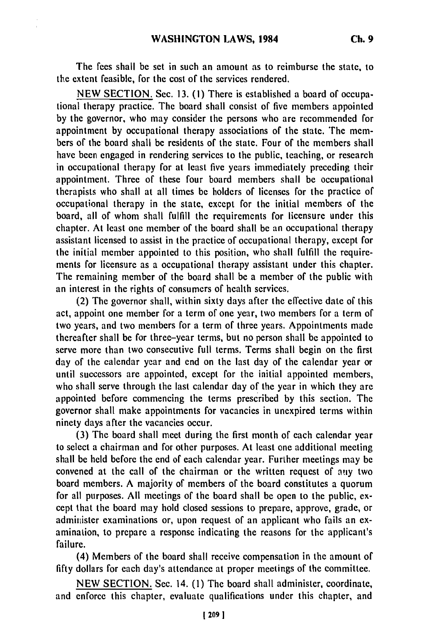The **fees** shall be **set** in such an amount as to reimburse the state, to the extent feasible, for the cost of the services rendered.

**NEW** SECTION. Sec. **13. (1)** There is established a board **of** occupational therapy practice. The board shall consist of five members appointed **by** the governor, who may consider the persons who are recommended for appointment **by** occupational therapy associations of the state. The members of the board shall **be** residents of the state. Four of the members shall have been engaged in rendering services to the public, teaching, or research in occupational therapy for at least five years immediately preceding their appointment. Three of these four board members shall **be** occupational therapists who shall at all times **be** holders of licenses for the practice of occupational therapy in the state, except for the initial members of the board, all of whom shall fulfill the requirements for licensure under this chapter. At least one member of the board shall **be** an occupational therapy assistant licensed to assist in the practice of occupational therapy, except for the initial member appointed to this position, who shall fulfill the requirements for licensure as a occupational therapy assistant under this chapter. The remaining member of the board shall be a member of the public with an interest in the rights of consumers of health services.

(2) The governor shall, within sixty days after the effective date of this act, appoint one member for a term of one year, two members for a term of two years, and two members for a term of three years. Appointments made thereafter shall be for three-year terms, but no person shall **be** appointed to serve more than two consecutive full terms. Terms shall begin on the first day of the calendar year and end on the last day of the calendar year or until successors are appointed, except for the initial appointed members, who shall serve through the last calendar day of the year in which they are appointed before commencing the terms prescribed **by** this section. The governor shall make appointments for vacancies in unexpired terms within ninety days after the vacancies occur.

**(3)** The board shall meet during the first month of each calendar year to select a chairman and for other purposes. At least one additional meeting shall **be** held before the end of each calendar year. Further meetings may **be** convened at the call of the chairman or the written request of **atiy** two board members. A majority of members of the board constitutes a quorum for all purposes. **All** meetings of the board shall be open to the public, except that the board may hold closed sessions to prepare, approve, grade, or administer examinations or, upon request of an applicant who fails an examination, to prepare a response indicating the reasons for the applicant's failure.

(4) Members of the board shall receive compensation in the amount of **fifty** dollars for each day's attendance at proper meetings of the committee.

**NEW** SECTION. Sec. 14. (1) The board shall administer, coordinate, and enforce this chapter, evaluate qualifications under this chapter, and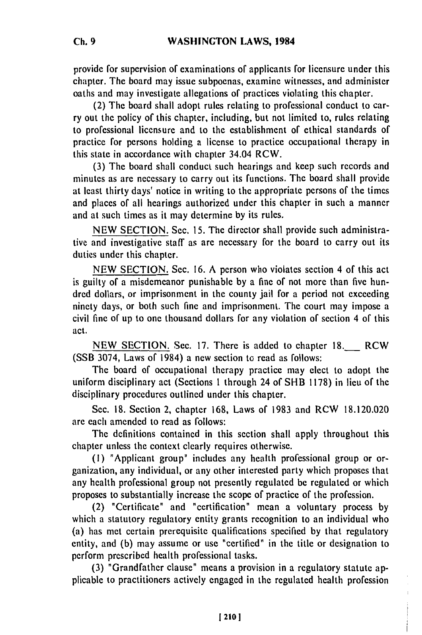provide for supervision of examinations of applicants for licensure under this chapter. The board may issue subpoenas, examine witnesses, and administer oaths and may investigate allegations of practices violating this chapter.

(2) The board shall adopt rules relating to professional conduct to carry out the policy of this chapter, including, but not limited to, rules relating to professional licensure and to the establishment of ethical standards of practice for persons holding a license to practice occupational therapy in this state in accordance with chapter 34.04 RCW.

(3) The board shall conduct such hearings and keep such records and minutes as are necessary to carry out its functions. The board shall provide at least thirty days' notice in writing to the appropriate persons of the times and places of all hearings authorized under this chapter in such a manner and at such times as it may determine by its rules.

NEW SECTION. Sec. 15. The director shall provide such administrative and investigative staff as are necessary for the board to carry out its duties under this chapter.

NEW SECTION. Sec. 16. A person who violates section 4 of this act is guilty of a misdemeanor punishable by a fine of not more than five hundred dollars, or imprisonment in the county jail for a period not exceeding ninety days, or both such fine and imprisonment. The court may impose a civil fine of up to one thousand dollars for any violation of section 4 of this act.

NEW SECTION. Sec. 17. There is added to chapter 18. RCW (SSB 3074, Laws of 1984) a new section to read as follows:

The board of occupational therapy practice may elect to adopt the uniform disciplinary act (Sections 1 through 24 of SHB 1178) in lieu of the disciplinary procedures outlined under this chapter.

Sec. 18. Section 2, chapter 168, Laws of 1983 and RCW 18.120.020 are each amended to read as follows:

The definitions contained in this section shall apply throughout this chapter unless the context clearly requires otherwise.

**(1)** "Applicant group" includes any health professional group or organization, any individual, or any other interested party which proposes that any health professional group not presently regulated be regulated or which proposes to substantially increase the scope of practice of the profession.

(2) "Certificate" and "certification" mean a voluntary process by which a statutory regulatory entity grants recognition to an individual who (a) has met certain prerequisite qualifications specified by that regulatory entity, and (b) may assume or use "certified" in the title or designation to perform prescribed health professional tasks.

(3) "Grandfather clause" means a provision in a regulatory statute applicable to practitioners actively engaged in the regulated health profession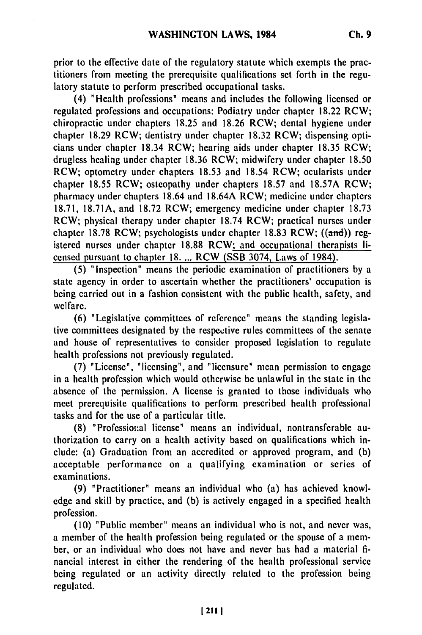prior to the effective date of the regulatory statute which exempts **the** practitioners from meeting the prerequisite qualifications set forth in the regulatory statute to perform prescribed occupational tasks.

(4) "Health professions" means and includes the following licensed or regulated professions and occupations: Podiatry under chapter **18.22** RCW; chiropractic under chapters **18.25** and **18.26** RCW; dental hygiene under chapter **18.29** RCW; dentistry under chapter **18.32** RCW; dispensing opticians under chapter 18.34 RCW; hearing aids under chapter **18.35** RCW; drugless healing under chapter **18.36** RCW; midwifery under chapter **18.50** RCW; optometry under chapters **18.53** and 18.54 RCW; ocularists under chapter **18.55** RCW; osteopathy under chapters **18.57** and **18.57A** RCW; pharmacy under chapters 18.64 and **18.64A** RCW; medicine under chapters **18.71, 18.71A,** and **18.72** RCW; emergency medicine under chapter **18.73** RCW; physical therapy under chapter **18.74** RCW; practical nurses under chapter **18.78** RCW; psychologists under chapter **18.83** RCW; **((and))** registered nurses under chapter **18.88** RCW; and occupational therapists licensed pursuant to chapter **18.** ... RCW **(SSB** 3074, Laws of 1984).

**(5)** "Inspection" means the periodic examination of practitioners **by** a state agency in order to ascertain whether the practitioners' occupation is being carried out in a fashion consistent with the public health, safety, and welfare.

**(6)** "Legislative committees of reference" means the standing legislative committees designated **by** the respective rules committees of the senate and house of representatives to consider proposed legislation to regulate health professions not previously regulated.

**(7)** "License", "licensing", and "licensure" mean permission to engage in a health profession which would otherwise be unlawful in the state in the absence of the permission. **A** license is granted to those individuals who meet prerequisite qualifications to perform prescribed health professional tasks and for the use of a particular title.

**(8)** "Professiou~al license" means an individual, nontransferable authorization to carry on a health activity based on qualifications which include: (a) Graduation from an accredited or approved program, and **(b)** acceptable performance on a qualifying examination or series of examinations.

**(9)** "Practitioner" means an individual who (a) has achieved knowledge and skill **by** practice, and **(b)** is actively engaged in a specified health profession.

**(10)** "Public member" means an individual who is not, and never was, a member of the health profession being regulated or the spouse of a member, or an individual who does not have and never has had a material **fi**nancial interest in either the rendering of the health professional service being regulated or an activity directly related to the profession being regulated.